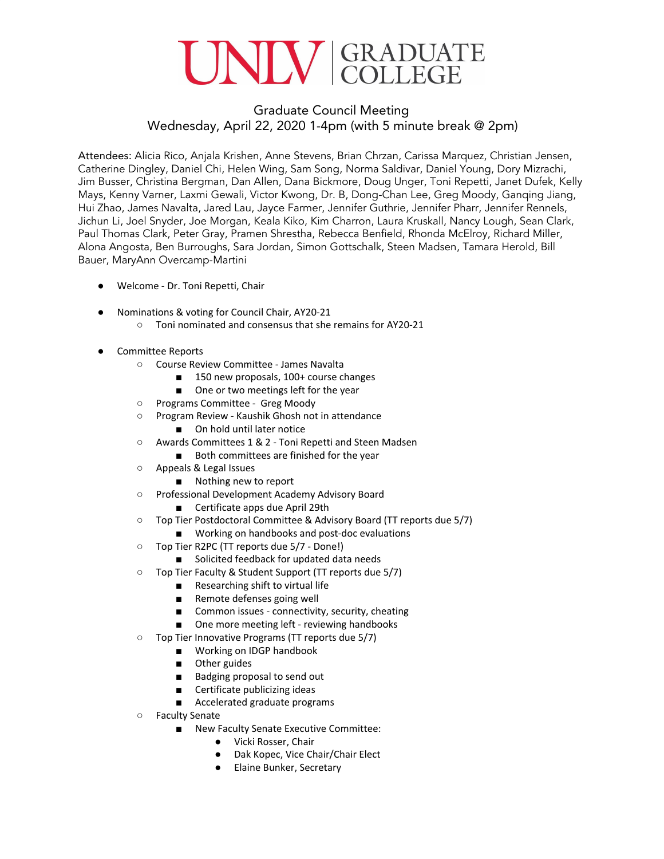### NIV GRADUATE

#### Graduate Council Meeting Wednesday, April 22, 2020 1-4pm (with 5 minute break @ 2pm)

Attendees: Alicia Rico, Anjala Krishen, Anne Stevens, Brian Chrzan, Carissa Marquez, Christian Jensen, Catherine Dingley, Daniel Chi, Helen Wing, Sam Song, Norma Saldivar, Daniel Young, Dory Mizrachi, Jim Busser, Christina Bergman, Dan Allen, Dana Bickmore, Doug Unger, Toni Repetti, Janet Dufek, Kelly Mays, Kenny Varner, Laxmi Gewali, Victor Kwong, Dr. B, Dong-Chan Lee, Greg Moody, Ganqing Jiang, Hui Zhao, James Navalta, Jared Lau, Jayce Farmer, Jennifer Guthrie, Jennifer Pharr, Jennifer Rennels, Jichun Li, Joel Snyder, Joe Morgan, Keala Kiko, Kim Charron, Laura Kruskall, Nancy Lough, Sean Clark, Paul Thomas Clark, Peter Gray, Pramen Shrestha, Rebecca Benfield, Rhonda McElroy, Richard Miller, Alona Angosta, Ben Burroughs, Sara Jordan, Simon Gottschalk, Steen Madsen, Tamara Herold, Bill Bauer, MaryAnn Overcamp-Martini

- Welcome Dr. Toni Repetti, Chair
- Nominations & voting for Council Chair, AY20-21
	- Toni nominated and consensus that she remains for AY20-21
- Committee Reports
	- Course Review Committee James Navalta
		- 150 new proposals, 100+ course changes
		- One or two meetings left for the year
	- Programs Committee Greg Moody
	- Program Review Kaushik Ghosh not in attendance
		- On hold until later notice
	- Awards Committees 1 & 2 Toni Repetti and Steen Madsen
		- Both committees are finished for the year
	- Appeals & Legal Issues
		- Nothing new to report
	- Professional Development Academy Advisory Board
		- Certificate apps due April 29th
	- Top Tier Postdoctoral Committee & Advisory Board (TT reports due 5/7)
		- Working on handbooks and post-doc evaluations
	- Top Tier R2PC (TT reports due 5/7 Done!)
		- Solicited feedback for updated data needs
	- Top Tier Faculty & Student Support (TT reports due 5/7)
		- Researching shift to virtual life
		- Remote defenses going well
		- Common issues connectivity, security, cheating
		- One more meeting left reviewing handbooks
	- Top Tier Innovative Programs (TT reports due 5/7)
		- Working on IDGP handbook
		- Other guides
		- Badging proposal to send out
		- Certificate publicizing ideas
		- Accelerated graduate programs
	- Faculty Senate
		- New Faculty Senate Executive Committee:
			- Vicki Rosser, Chair
			- Dak Kopec, Vice Chair/Chair Elect
			- Elaine Bunker, Secretary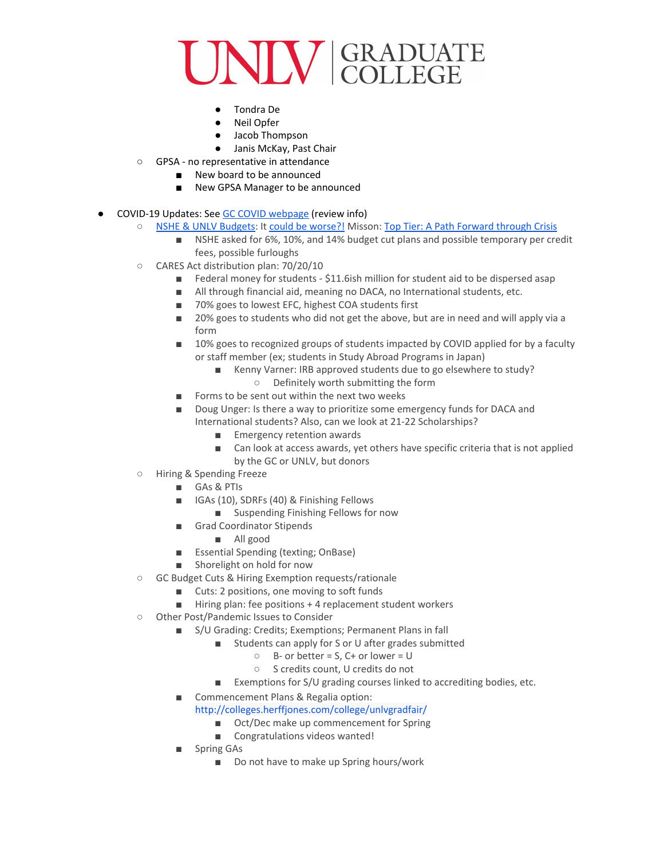## NIN GRADUATE

- Tondra De
- Neil Opfer
- Jacob Thompson
- Janis McKay, Past Chair
- GPSA no representative in attendance
	- New board to be announced
	- New GPSA Manager to be announced
- COVID-19 Updates: See GC COVID [webpage](https://www.unlv.edu/graduatecollege/coronavirus) (review info)
	- NSHE & UNLV [Budgets:](https://nshe.nevada.edu/wp-content/uploads/file/BoardOfRegents/Agendas/2020/04-apr-mtgs/supp-mat/borapr10/BOR-3Proposals.pdf) It could be [worse?!](https://www.insidehighered.com/news/2020/04/13/public-colleges-face-looming-financial-blow-state-budget-cuts) Misson: Top Tier: A Path [Forward](https://drive.google.com/file/d/1vNaSvqAhmVnaD3BcC9exJJH5QySdHuGG/view?usp=sharing) through Crisis
		- NSHE asked for 6%, 10%, and 14% budget cut plans and possible temporary per credit fees, possible furloughs
	- CARES Act distribution plan: 70/20/10
		- Federal money for students \$11.6ish million for student aid to be dispersed asap
		- All through financial aid, meaning no DACA, no International students, etc.
		- 70% goes to lowest EFC, highest COA students first
		- 20% goes to students who did not get the above, but are in need and will apply via a form
		- 10% goes to recognized groups of students impacted by COVID applied for by a faculty or staff member (ex; students in Study Abroad Programs in Japan)
			- Kenny Varner: IRB approved students due to go elsewhere to study? ○ Definitely worth submitting the form
		- Forms to be sent out within the next two weeks
		- Doug Unger: Is there a way to prioritize some emergency funds for DACA and International students? Also, can we look at 21-22 Scholarships?
			- Emergency retention awards
			- Can look at access awards, yet others have specific criteria that is not applied by the GC or UNLV, but donors
	- Hiring & Spending Freeze
		- GAs & PTIs
		- IGAs (10), SDRFs (40) & Finishing Fellows
			- Suspending Finishing Fellows for now
		- Grad Coordinator Stipends
			- All good
		- Essential Spending (texting; OnBase)
		- Shorelight on hold for now
	- GC Budget Cuts & Hiring Exemption requests/rationale
		- Cuts: 2 positions, one moving to soft funds
		- Hiring plan: fee positions + 4 replacement student workers
	- Other Post/Pandemic Issues to Consider
		- S/U Grading: Credits; Exemptions; Permanent Plans in fall
			- Students can apply for S or U after grades submitted
				- $O$  B- or better = S, C+ or lower = U
				- S credits count, U credits do not
			- Exemptions for S/U grading courses linked to accrediting bodies, etc.
		- Commencement Plans & Regalia option:
			- [http://colleges.herffjones.com/college/unlvgradfair/](https://slack-redir.net/link?url=http%3A%2F%2Fcolleges.herffjones.com%2Fcollege%2Funlvgradfair%2F)
				- Oct/Dec make up commencement for Spring
				- Congratulations videos wanted!
			- Spring GAs
				- Do not have to make up Spring hours/work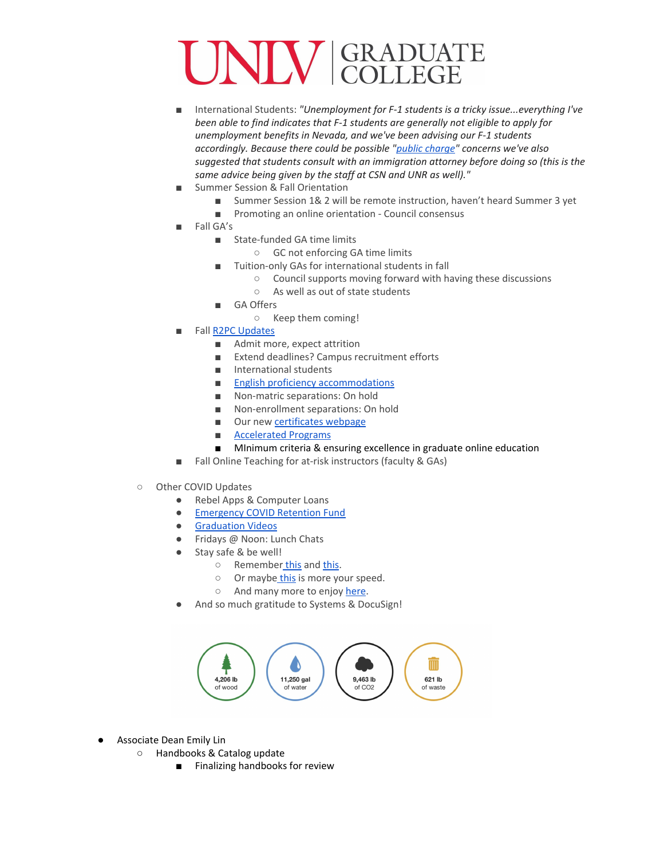# IN GRADUATE

- International Students: *"Unemployment for F-1 students is a tricky issue...everything I've been able to find indicates that F-1 students are generally not eligible to apply for unemployment benefits in Nevada, and we've been advising our F-1 students accordingly. Because there could be possible "public [charge"](https://www.aila.org/File/Related/20022100a.pdf) concerns we've also suggested that students consult with an immigration attorney before doing so (this is the same advice being given by the staff at CSN and UNR as well)."*
- Summer Session & Fall Orientation
	- Summer Session 1& 2 will be remote instruction, haven't heard Summer 3 yet
	- Promoting an online orientation Council consensus
- Fall GA's
	- State-funded GA time limits
		- GC not enforcing GA time limits
		- Tuition-only GAs for international students in fall
			- Council supports moving forward with having these discussions
				- As well as out of state students
	- GA Offers
		- Keep them coming!
- Fall R2PC [Updates](https://docs.google.com/document/d/1xL5rDQGskFK9q55UI86Z89DBCF_NnrmRjtttEm0wj4s/edit?usp=sharing)
	- Admit more, expect attrition
	- Extend deadlines? Campus recruitment efforts
	- International students
	- English proficiency [accommodations](https://docs.google.com/document/d/1EQtq4NW8W88mKiW26LBgvxnImdrqI8Lz8QWX29R-MzY/edit)
	- Non-matric separations: On hold
	- Non-enrollment separations: On hold
	- Our new [certificates](https://www.unlv.edu/graduatecollege/certificates) webpage
	- [Accelerated](https://docs.google.com/document/d/1P47KDRqTGH_iCQnBwij1Jy4sfvxHSD4DGQ3IyXCmWzk/edit?usp=sharing) Programs
	- MInimum criteria & ensuring excellence in graduate online education
- Fall Online Teaching for at-risk instructors (faculty & GAs)
- Other COVID Updates
	- Rebel Apps & Computer Loans
	- [Emergency](https://www.unlv.edu/sites/default/files/page_files/27/GradCollege-EmergencyFundFlyer.pdf) COVID Retention Fund
	- [Graduation](https://www.unlv.edu/sites/default/files/page_files/27/GradCollege-PersonalizedVideoMessage-ClassOf2020.pdf) Videos
	- Fridays @ Noon: Lunch Chats
		- Stay safe & be well!
			- o Remember [this](https://www.npr.org/2013/08/28/216482943/the-inspiring-force-of-we-shall-overcome) and [this.](https://youtu.be/X5_2JPCfTp8)
			- o Or maybe [this](http://www.openculture.com/2020/04/watch-the-rolling-stones-play-you-cant-always-get-what-you-want-while-social-distancing-in-quarantine.html?fbclid=IwAR32Hp7WcdqTBGM1rF8enUul97JKg_9h2tg7p8O7lWeybBkILgbVJBYmGwE) is more your speed.
			- o And many more to enjoy [here.](https://www.billboard.com/articles/columns/pop/9335531/coronavirus-quarantine-music-events-online-streams)
	- And so much gratitude to Systems & DocuSign!



- Associate Dean Emily Lin
	- Handbooks & Catalog update
		- Finalizing handbooks for review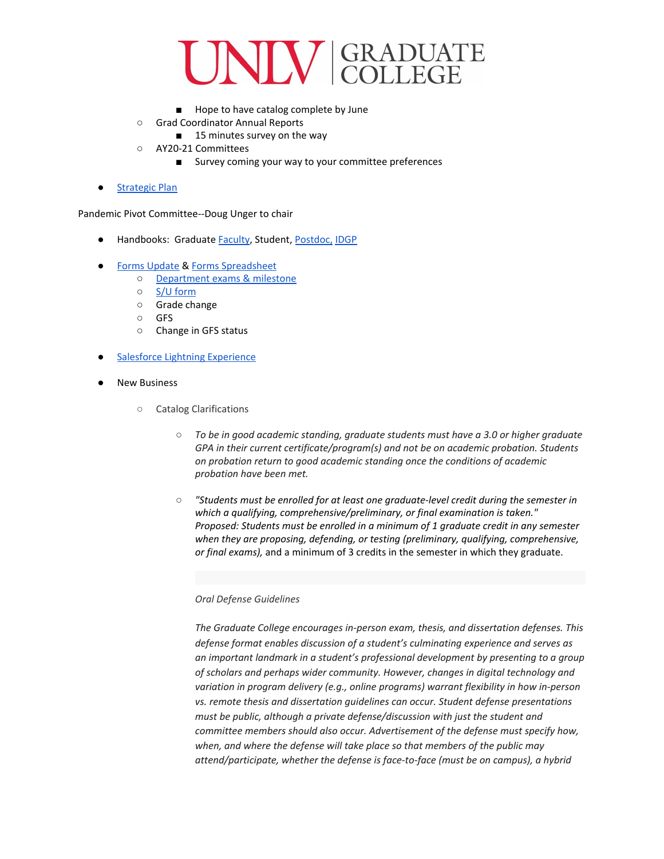#### **NINE GRADUATE**

- Hope to have catalog complete by June
- Grad Coordinator Annual Reports
	- 15 minutes survey on the way
- AY20-21 Committees
	- Survey coming your way to your committee preferences
- **[Strategic](https://docs.google.com/document/d/1ZYO6f7lf257oa3XBn2deng4hJnNQVOvWvTYsqTNfi3U/edit?usp=sharing) Plan**

Pandemic Pivot Committee--Doug Unger to chair

- Handbooks: Graduate [Faculty](https://drive.google.com/open?id=1RqJWMAJRavoO3nqqGy-0xWKGY-PUTBPk), Student, [Postdoc,](https://drive.google.com/drive/folders/1cG3e4gdfc00CxMmhuotIbIGsYvkkMPlt) [IDGP](https://docs.google.com/document/d/1ZnjGwY8QBjuLINpUfZo0gKm7rK4NzAwgIDwwgQZAT0g/edit#)
- Forms [Update](https://www.unlv.edu/graduatecollege/forms) & Forms [Spreadsheet](https://docs.google.com/spreadsheets/d/10VYcN9EftWaUV8jOYQIhCIBbi4FvaHcqPvKhbrc3QOA/edit#gid=0)
	- [Department](https://drive.google.com/file/d/1XzXUpkJW7wxh_Lf53RIXaPGsgH0Zr7O-/view) exams & milestone
	- S/U [form](https://drive.google.com/file/d/15qZup06r6KebRrsF25V-ubX-M5UXSFwU/view?usp=sharing)
	- Grade change
	- GFS
	- Change in GFS status
- **Salesforce Lightning [Experience](https://docs.google.com/document/d/1rKsKUACIGh3fEK-5idrxEW0iS0qN24SwAw89Sxy2Dvk/edit)**
- **New Business** 
	- Catalog Clarifications
		- *○ To be in good academic standing, graduate students must have a 3.0 or higher graduate GPA in their current certificate/program(s) and not be on academic probation. Students on probation return to good academic standing once the conditions of academic probation have been met.*
		- *"Students must be enrolled for at least one graduate-level credit during the semester in which a qualifying, comprehensive/preliminary, or final examination is taken." Proposed: Students must be enrolled in a minimum of 1 graduate credit in any semester when they are proposing, defending, or testing (preliminary, qualifying, comprehensive, or final exams),* and a minimum of 3 credits in the semester in which they graduate.

#### *Oral Defense Guidelines*

*The Graduate College encourages in-person exam, thesis, and dissertation defenses. This defense format enables discussion of a student's culminating experience and serves as an important landmark in a student's professional development by presenting to a group of scholars and perhaps wider community. However, changes in digital technology and variation in program delivery (e.g., online programs) warrant flexibility in how in-person vs. remote thesis and dissertation guidelines can occur. Student defense presentations must be public, although a private defense/discussion with just the student and committee members should also occur. Advertisement of the defense must specify how, when, and where the defense will take place so that members of the public may attend/participate, whether the defense is face-to-face (must be on campus), a hybrid*